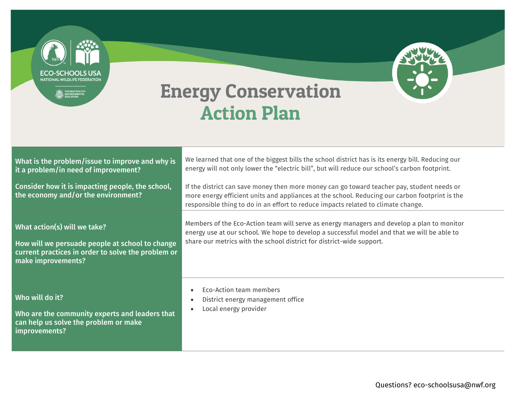**ECO-SCHOOLS USA** NATIONAL WILDLIFE FEDERATION EDUNDATION FOR

## Energy Conservation Action Plan

| What is the problem/issue to improve and why is<br>it a problem/in need of improvement?                                                                     | We learned that one of the biggest bills the school district has is its energy bill. Reducing our<br>energy will not only lower the "electric bill", but will reduce our school's carbon footprint.                                                                               |
|-------------------------------------------------------------------------------------------------------------------------------------------------------------|-----------------------------------------------------------------------------------------------------------------------------------------------------------------------------------------------------------------------------------------------------------------------------------|
| Consider how it is impacting people, the school,<br>the economy and/or the environment?                                                                     | If the district can save money then more money can go toward teacher pay, student needs or<br>more energy efficient units and appliances at the school. Reducing our carbon footprint is the<br>responsible thing to do in an effort to reduce impacts related to climate change. |
| What action(s) will we take?<br>How will we persuade people at school to change<br>current practices in order to solve the problem or<br>make improvements? | Members of the Eco-Action team will serve as energy managers and develop a plan to monitor<br>energy use at our school. We hope to develop a successful model and that we will be able to<br>share our metrics with the school district for district-wide support.                |
| Who will do it?<br>Who are the community experts and leaders that<br>can help us solve the problem or make<br>improvements?                                 | Eco-Action team members<br>$\bullet$<br>District energy management office<br>$\bullet$<br>Local energy provider<br>$\bullet$                                                                                                                                                      |